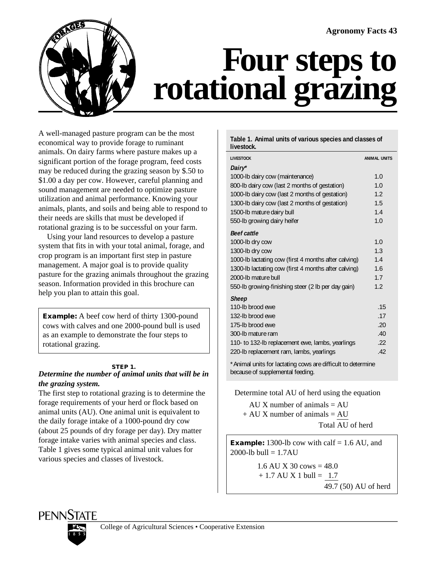

# **Four steps to rotational grazing**

A well-managed pasture program can be the most economical way to provide forage to ruminant animals. On dairy farms where pasture makes up a significant portion of the forage program, feed costs may be reduced during the grazing season by \$.50 to \$1.00 a day per cow. However, careful planning and sound management are needed to optimize pasture utilization and animal performance. Knowing your animals, plants, and soils and being able to respond to their needs are skills that must be developed if rotational grazing is to be successful on your farm.

Using your land resources to develop a pasture system that fits in with your total animal, forage, and crop program is an important first step in pasture management. A major goal is to provide quality pasture for the grazing animals throughout the grazing season. Information provided in this brochure can help you plan to attain this goal.

**Example:** A beef cow herd of thirty 1300-pound cows with calves and one 2000-pound bull is used as an example to demonstrate the four steps to rotational grazing.

# **STEP 1.**

# *Determine the number of animal units that will be in the grazing system.*

The first step to rotational grazing is to determine the forage requirements of your herd or flock based on animal units (AU). One animal unit is equivalent to the daily forage intake of a 1000-pound dry cow (about 25 pounds of dry forage per day). Dry matter forage intake varies with animal species and class. Table 1 gives some typical animal unit values for various species and classes of livestock.

### **Table 1. Animal units of various species and classes of livestock.**

| <b>LIVESTOCK</b>                                     | <b>ANIMAL UNITS</b> |
|------------------------------------------------------|---------------------|
| Dairy*                                               |                     |
| 1000-lb dairy cow (maintenance)                      | 1.0                 |
| 800-lb dairy cow (last 2 months of gestation)        | 1.0                 |
| 1000-lb dairy cow (last 2 months of gestation)       | 1.2                 |
| 1300-lb dairy cow (last 2 months of gestation)       | 1.5                 |
| 1500-lb mature dairy bull                            | 1.4                 |
| 550-Ib growing dairy heifer                          | 1.0                 |
| <b>Beef cattle</b>                                   |                     |
| 1000-lb dry cow                                      | 1.0                 |
| 1300-lb dry cow                                      | 1.3                 |
| 1000-lb lactating cow (first 4 months after calving) | 1.4                 |
| 1300-lb lactating cow (first 4 months after calving) | 1.6                 |
| 2000-lb mature bull                                  | 1.7                 |
| 550-lb growing-finishing steer (2 lb per day gain)   | 1.2                 |
| <b>Sheep</b>                                         |                     |
| 110-lb brood ewe                                     | .15                 |
| 132-lb brood ewe                                     | .17                 |
| 175-lb brood ewe                                     | .20                 |
| 300-lb mature ram                                    | .40                 |
| 110- to 132-lb replacement ewe, lambs, yearlings     | .22                 |
| 220-Ib replacement ram, lambs, yearlings             | .42                 |
|                                                      |                     |

\*Animal units for lactating cows are difficult to determine because of supplemental feeding.

Determine total AU of herd using the equation

AU X number of animals  $=$  AU  $+ AU X$  number of animals  $= AU$ Total AU of herd

**Example:** 1300-lb cow with calf  $= 1.6$  AU, and 2000-lb bull =  $1.7AU$ 

> 1.6 AU X 30 cows  $= 48.0$  $+ 1.7$  AU X 1 bull = 1.7 49.7 (50) AU of herd



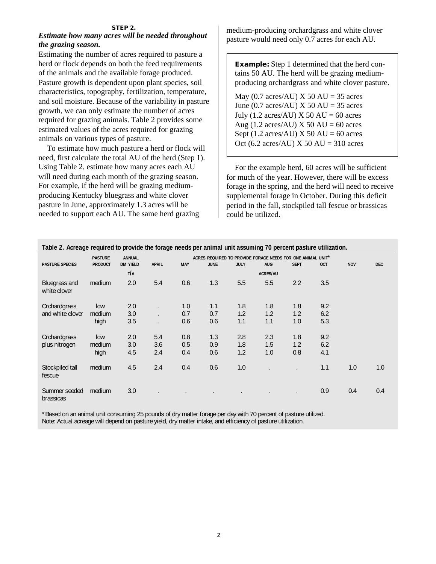#### **STEP 2.**

# *Estimate how many acres will be needed throughout the grazing season.*

Estimating the number of acres required to pasture a herd or flock depends on both the feed requirements of the animals and the available forage produced. Pasture growth is dependent upon plant species, soil characteristics, topography, fertilization, temperature, and soil moisture. Because of the variability in pasture growth, we can only estimate the number of acres required for grazing animals. Table 2 provides some estimated values of the acres required for grazing animals on various types of pasture.

To estimate how much pasture a herd or flock will need, first calculate the total AU of the herd (Step 1). Using Table 2, estimate how many acres each AU will need during each month of the grazing season. For example, if the herd will be grazing mediumproducing Kentucky bluegrass and white clover pasture in June, approximately 1.3 acres will be needed to support each AU. The same herd grazing

medium-producing orchardgrass and white clover pasture would need only 0.7 acres for each AU.

**Example:** Step 1 determined that the herd contains 50 AU. The herd will be grazing mediumproducing orchardgrass and white clover pasture.

May (0.7 acres/AU)  $X$  50 AU = 35 acres June (0.7 acres/AU)  $X$  50 AU = 35 acres July (1.2 acres/AU)  $X$  50 AU = 60 acres Aug (1.2 acres/AU)  $X$  50 AU = 60 acres Sept (1.2 acres/AU)  $X$  50 AU = 60 acres Oct (6.2 acres/AU)  $X$  50 AU = 310 acres

For the example herd, 60 acres will be sufficient for much of the year. However, there will be excess forage in the spring, and the herd will need to receive supplemental forage in October. During this deficit period in the fall, stockpiled tall fescue or brassicas could be utilized.

| Table 2. Acreage required to provide the forage needs per animal unit assuming 70 percent pasture utilization. |                |                 |              |                                                             |             |             |                 |             |            |            |            |
|----------------------------------------------------------------------------------------------------------------|----------------|-----------------|--------------|-------------------------------------------------------------|-------------|-------------|-----------------|-------------|------------|------------|------------|
|                                                                                                                | <b>PASTURE</b> | <b>ANNUAL</b>   |              | ACRES REQUIRED TO PROVIDE FORAGE NEEDS FOR ONE ANIMAL UNIT* |             |             |                 |             |            |            |            |
| <b>PASTURE SPECIES</b>                                                                                         | <b>PRODUCT</b> | <b>DM YIELD</b> | <b>APRIL</b> | <b>MAY</b>                                                  | <b>JUNE</b> | <b>JULY</b> | <b>AUG</b>      | <b>SEPT</b> | <b>OCT</b> | <b>NOV</b> | <b>DEC</b> |
|                                                                                                                |                | T/A             |              |                                                             |             |             | <b>ACRES/AU</b> |             |            |            |            |
| Bluegrass and<br>white clover                                                                                  | medium         | 2.0             | 5.4          | 0.6                                                         | 1.3         | 5.5         | 5.5             | 2.2         | 3.5        |            |            |
| Orchardgrass                                                                                                   | low            | 2.0             |              | 1.0                                                         | 1.1         | 1.8         | 1.8             | 1.8         | 9.2        |            |            |
| and white clover                                                                                               | medium         | 3.0             |              | 0.7                                                         | 0.7         | 1.2         | 1.2             | 1.2         | 6.2        |            |            |
|                                                                                                                | high           | 3.5             |              | 0.6                                                         | 0.6         | 1.1         | 1.1             | 1.0         | 5.3        |            |            |
| Orchardgrass                                                                                                   | low            | 2.0             | 5.4          | 0.8                                                         | 1.3         | 2.8         | 2.3             | 1.8         | 9.2        |            |            |
| plus nitrogen                                                                                                  | medium         | 3.0             | 3.6          | 0.5                                                         | 0.9         | 1.8         | 1.5             | 1.2         | 6.2        |            |            |
|                                                                                                                | high           | 4.5             | 2.4          | 0.4                                                         | 0.6         | 1.2         | 1.0             | 0.8         | 4.1        |            |            |
| Stockpiled tall<br>fescue                                                                                      | medium         | 4.5             | 2.4          | 0.4                                                         | 0.6         | 1.0         |                 |             | 1.1        | 1.0        | 1.0        |
| Summer seeded<br>brassicas                                                                                     | medium         | 3.0             |              |                                                             |             |             |                 |             | 0.9        | 0.4        | 0.4        |

\*Based on an animal unit consuming 25 pounds of dry matter forage per day with 70 percent of pasture utilized. Note: Actual acreage will depend on pasture yield, dry matter intake, and efficiency of pasture utilization.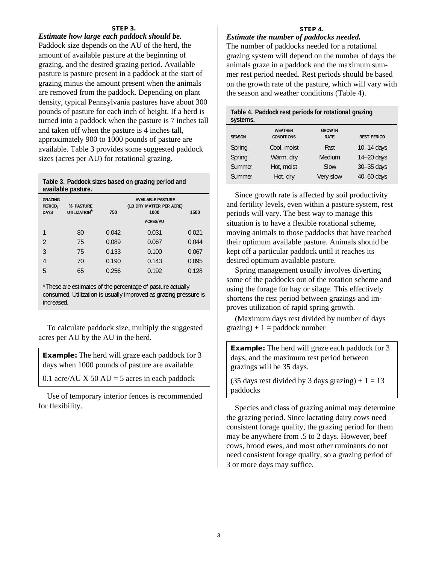#### **STEP 3.**

*Estimate how large each paddock should be.* Paddock size depends on the AU of the herd, the amount of available pasture at the beginning of grazing, and the desired grazing period. Available pasture is pasture present in a paddock at the start of grazing minus the amount present when the animals are removed from the paddock. Depending on plant density, typical Pennsylvania pastures have about 300 pounds of pasture for each inch of height. If a herd is turned into a paddock when the pasture is 7 inches tall and taken off when the pasture is 4 inches tall, approximately 900 to 1000 pounds of pasture are available. Table 3 provides some suggested paddock sizes (acres per AU) for rotational grazing.

| Table 3. Paddock sizes based on grazing period and |  |  |
|----------------------------------------------------|--|--|
| available pasture.                                 |  |  |

| <b>GRAZING</b><br>PERIOD,<br><b>DAYS</b> | % PASTURE<br>UTILIZATION <sup>*</sup> | 750   | 1500  |       |
|------------------------------------------|---------------------------------------|-------|-------|-------|
|                                          | 80                                    | 0.042 | 0.031 | 0.021 |
| $\mathfrak{D}$                           | 75                                    | 0.089 | 0.067 | 0.044 |
| 3                                        | 75                                    | 0.133 | 0.100 | 0.067 |
| $\overline{4}$                           | 70                                    | 0.190 | 0.143 | 0.095 |
| 5                                        | 65                                    | 0.256 | 0.192 | 0.128 |

\*These are estimates of the percentage of pasture actually consumed. Utilization is usually improved as grazing pressure is increased.

To calculate paddock size, multiply the suggested acres per AU by the AU in the herd.

**Example:** The herd will graze each paddock for 3 days when 1000 pounds of pasture are available.

0.1 acre/AU X 50 AU = 5 acres in each paddock

Use of temporary interior fences is recommended for flexibility.

#### **STEP 4.**

# *Estimate the number of paddocks needed.*

The number of paddocks needed for a rotational grazing system will depend on the number of days the animals graze in a paddock and the maximum summer rest period needed. Rest periods should be based on the growth rate of the pasture, which will vary with the season and weather conditions (Table 4).

| Table 4. Paddock rest periods for rotational grazing |  |
|------------------------------------------------------|--|
| systems.                                             |  |

| <b>SEASON</b> | <b>WEATHER</b><br><b>CONDITIONS</b> | <b>GROWTH</b><br><b>RATE</b> | <b>REST PERIOD</b> |
|---------------|-------------------------------------|------------------------------|--------------------|
| Spring        | Cool, moist                         | Fast                         | $10-14$ days       |
| Spring        | Warm, dry                           | Medium                       | 14-20 days         |
| Summer        | Hot, moist                          | Slow                         | 30-35 days         |
| Summer        | Hot, dry                            | Very slow                    | 40-60 days         |

Since growth rate is affected by soil productivity and fertility levels, even within a pasture system, rest periods will vary. The best way to manage this situation is to have a flexible rotational scheme, moving animals to those paddocks that have reached their optimum available pasture. Animals should be kept off a particular paddock until it reaches its desired optimum available pasture.

Spring management usually involves diverting some of the paddocks out of the rotation scheme and using the forage for hay or silage. This effectively shortens the rest period between grazings and improves utilization of rapid spring growth.

(Maximum days rest divided by number of days  $grazing) + 1 =$  paddock number

**Example:** The herd will graze each paddock for 3 days, and the maximum rest period between grazings will be 35 days.

(35 days rest divided by 3 days grazing)  $+ 1 = 13$ paddocks

Species and class of grazing animal may determine the grazing period. Since lactating dairy cows need consistent forage quality, the grazing period for them may be anywhere from .5 to 2 days. However, beef cows, brood ewes, and most other ruminants do not need consistent forage quality, so a grazing period of 3 or more days may suffice.